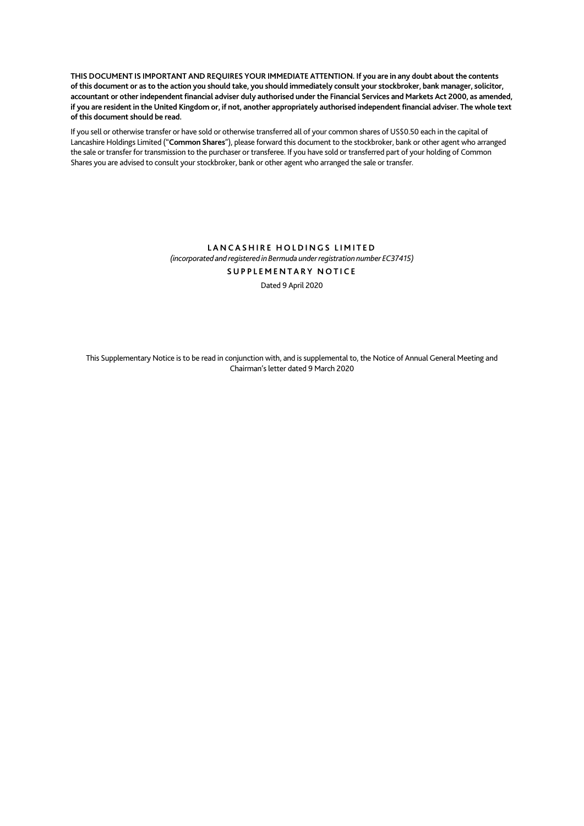**THIS DOCUMENT IS IMPORTANT AND REQUIRES YOUR IMMEDIATE ATTENTION. If you are in any doubt about the contents of this document or as to the action you should take, you should immediately consult your stockbroker, bank manager, solicitor, accountant or other independent financial adviser duly authorised under the Financial Services and Markets Act 2000, as amended, if you are resident in the United Kingdom or, if not, another appropriately authorised independent financial adviser. The whole text of this document should be read.** 

If you sell or otherwise transfer or have sold or otherwise transferred all of your common shares of US\$0.50 each in the capital of Lancashire Holdings Limited ("**Common Shares**"), please forward this document to the stockbroker, bank or other agent who arranged the sale or transfer for transmission to the purchaser or transferee. If you have sold or transferred part of your holding of Common Shares you are advised to consult your stockbroker, bank or other agent who arranged the sale or transfer.

### **LANCASHIRE HOLDINGS LIMITED**  *(incorporated and registered in Bermuda under registration number EC37415)*  **SUPPLEMENTARY NOTICE**

Dated 9 April 2020

This Supplementary Notice is to be read in conjunction with, and is supplemental to, the Notice of Annual General Meeting and Chairman's letter dated 9 March 2020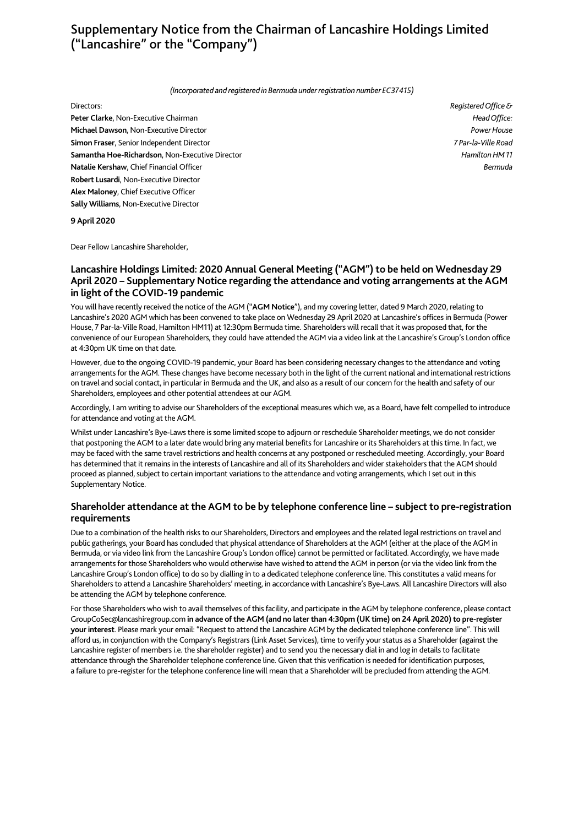# **Supplementary Notice from the Chairman of Lancashire Holdings Limited ("Lancashire" or the "Company")**

*(Incorporated and registered in Bermuda under registration number EC37415)* 

**Peter Clarke**, Non-Executive Chairman *Head Office:* **Michael Dawson**, Non-Executive Director *Power House* **Simon Fraser**, Senior Independent Director *7 Par-la-Ville Road* **Samantha Hoe-Richardson**, Non-Executive Director *Hamilton HM 11* **Natalie Kershaw**, Chief Financial Officer *Bermuda* **Robert Lusardi**, Non-Executive Director **Alex Maloney**, Chief Executive Officer **Sally Williams**, Non-Executive Director

Directors: *Registered Office &*

**9 April 2020** 

Dear Fellow Lancashire Shareholder,

## **Lancashire Holdings Limited: 2020 Annual General Meeting ("AGM") to be held on Wednesday 29 April 2020 – Supplementary Notice regarding the attendance and voting arrangements at the AGM in light of the COVID-19 pandemic**

You will have recently received the notice of the AGM ("**AGM Notice**"), and my covering letter, dated 9 March 2020, relating to Lancashire's 2020 AGM which has been convened to take place on Wednesday 29 April 2020 at Lancashire's offices in Bermuda (Power House, 7 Par-la-Ville Road, Hamilton HM11) at 12:30pm Bermuda time. Shareholders will recall that it was proposed that, for the convenience of our European Shareholders, they could have attended the AGM via a video link at the Lancashire's Group's London office at 4:30pm UK time on that date.

However, due to the ongoing COVID-19 pandemic, your Board has been considering necessary changes to the attendance and voting arrangements for the AGM. These changes have become necessary both in the light of the current national and international restrictions on travel and social contact, in particular in Bermuda and the UK, and also as a result of our concern for the health and safety of our Shareholders, employees and other potential attendees at our AGM.

Accordingly, I am writing to advise our Shareholders of the exceptional measures which we, as a Board, have felt compelled to introduce for attendance and voting at the AGM.

Whilst under Lancashire's Bye-Laws there is some limited scope to adjourn or reschedule Shareholder meetings, we do not consider that postponing the AGM to a later date would bring any material benefits for Lancashire or its Shareholders at this time. In fact, we may be faced with the same travel restrictions and health concerns at any postponed or rescheduled meeting. Accordingly, your Board has determined that it remains in the interests of Lancashire and all of its Shareholders and wider stakeholders that the AGM should proceed as planned, subject to certain important variations to the attendance and voting arrangements, which I set out in this Supplementary Notice.

## **Shareholder attendance at the AGM to be by telephone conference line – subject to pre-registration requirements**

Due to a combination of the health risks to our Shareholders, Directors and employees and the related legal restrictions on travel and public gatherings, your Board has concluded that physical attendance of Shareholders at the AGM (either at the place of the AGM in Bermuda, or via video link from the Lancashire Group's London office) cannot be permitted or facilitated. Accordingly, we have made arrangements for those Shareholders who would otherwise have wished to attend the AGM in person (or via the video link from the Lancashire Group's London office) to do so by dialling in to a dedicated telephone conference line. This constitutes a valid means for Shareholders to attend a Lancashire Shareholders' meeting, in accordance with Lancashire's Bye-Laws. All Lancashire Directors will also be attending the AGM by telephone conference.

For those Shareholders who wish to avail themselves of this facility, and participate in the AGM by telephone conference, please contact GroupCoSec@lancashiregroup.com **in advance of the AGM (and no later than 4:30pm (UK time) on 24 April 2020) to pre-register your interest**. Please mark your email: "Request to attend the Lancashire AGM by the dedicated telephone conference line". This will afford us, in conjunction with the Company's Registrars (Link Asset Services), time to verify your status as a Shareholder (against the Lancashire register of members i.e. the shareholder register) and to send you the necessary dial in and log in details to facilitate attendance through the Shareholder telephone conference line. Given that this verification is needed for identification purposes, a failure to pre-register for the telephone conference line will mean that a Shareholder will be precluded from attending the AGM.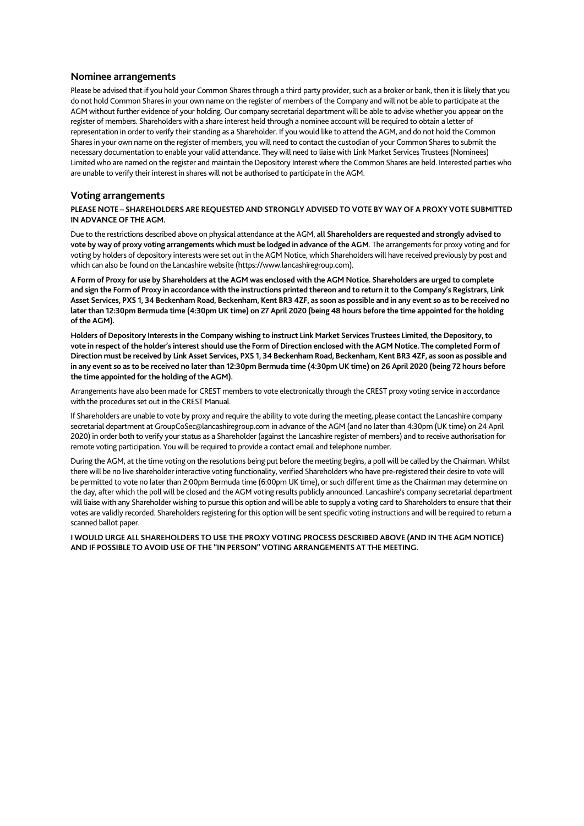#### **Nominee arrangements**

Please be advised that if you hold your Common Shares through a third party provider, such as a broker or bank, then it is likely that you do not hold Common Shares in your own name on the register of members of the Company and will not be able to participate at the AGM without further evidence of your holding. Our company secretarial department will be able to advise whether you appear on the register of members. Shareholders with a share interest held through a nominee account will be required to obtain a letter of representation in order to verify their standing as a Shareholder. If you would like to attend the AGM, and do not hold the Common Shares in your own name on the register of members, you will need to contact the custodian of your Common Shares to submit the necessary documentation to enable your valid attendance. They will need to liaise with Link Market Services Trustees (Nominees) Limited who are named on the register and maintain the Depository Interest where the Common Shares are held. Interested parties who are unable to verify their interest in shares will not be authorised to participate in the AGM.

#### **Voting arrangements**

#### **PLEASE NOTE – SHAREHOLDERS ARE REQUESTED AND STRONGLY ADVISED TO VOTE BY WAY OF A PROXY VOTE SUBMITTED IN ADVANCE OF THE AGM.**

Due to the restrictions described above on physical attendance at the AGM, **all Shareholders are requested and strongly advised to vote by way of proxy voting arrangements which must be lodged in advance of the AGM**. The arrangements for proxy voting and for voting by holders of depository interests were set out in the AGM Notice, which Shareholders will have received previously by post and which can also be found on the Lancashire website (https://www.lancashiregroup.com).

**A Form of Proxy for use by Shareholders at the AGM was enclosed with the AGM Notice. Shareholders are urged to complete and sign the Form of Proxy in accordance with the instructions printed thereon and to return it to the Company's Registrars, Link Asset Services, PXS 1, 34 Beckenham Road, Beckenham, Kent BR3 4ZF, as soon as possible and in any event so as to be received no later than 12:30pm Bermuda time (4:30pm UK time) on 27 April 2020 (being 48 hours before the time appointed for the holding of the AGM).** 

**Holders of Depository Interests in the Company wishing to instruct Link Market Services Trustees Limited, the Depository, to vote in respect of the holder's interest should use the Form of Direction enclosed with the AGM Notice. The completed Form of Direction must be received by Link Asset Services, PXS 1, 34 Beckenham Road, Beckenham, Kent BR3 4ZF, as soon as possible and in any event so as to be received no later than 12:30pm Bermuda time (4:30pm UK time) on 26 April 2020 (being 72 hours before the time appointed for the holding of the AGM).** 

Arrangements have also been made for CREST members to vote electronically through the CREST proxy voting service in accordance with the procedures set out in the CREST Manual.

If Shareholders are unable to vote by proxy and require the ability to vote during the meeting, please contact the Lancashire company secretarial department at GroupCoSec@lancashiregroup.com in advance of the AGM (and no later than 4:30pm (UK time) on 24 April 2020) in order both to verify your status as a Shareholder (against the Lancashire register of members) and to receive authorisation for remote voting participation. You will be required to provide a contact email and telephone number.

During the AGM, at the time voting on the resolutions being put before the meeting begins, a poll will be called by the Chairman. Whilst there will be no live shareholder interactive voting functionality, verified Shareholders who have pre-registered their desire to vote will be permitted to vote no later than 2:00pm Bermuda time (6:00pm UK time), or such different time as the Chairman may determine on the day, after which the poll will be closed and the AGM voting results publicly announced. Lancashire's company secretarial department will liaise with any Shareholder wishing to pursue this option and will be able to supply a voting card to Shareholders to ensure that their votes are validly recorded. Shareholders registering for this option will be sent specific voting instructions and will be required to return a scanned ballot paper.

#### **I WOULD URGE ALL SHAREHOLDERS TO USE THE PROXY VOTING PROCESS DESCRIBED ABOVE (AND IN THE AGM NOTICE) AND IF POSSIBLE TO AVOID USE OF THE "IN PERSON" VOTING ARRANGEMENTS AT THE MEETING.**